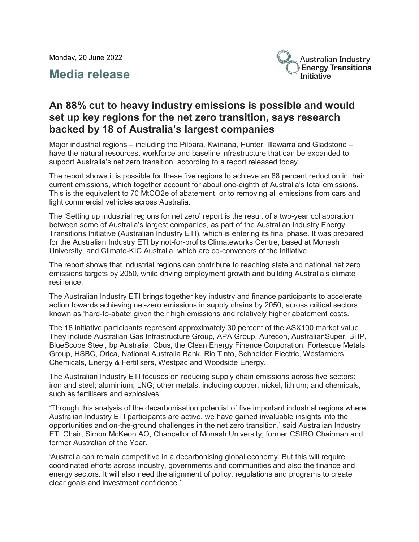Monday, 20 June 2022

# **Media release**



# **An 88% cut to heavy industry emissions is possible and would set up key regions for the net zero transition, says research backed by 18 of Australia's largest companies**

Major industrial regions – including the Pilbara, Kwinana, Hunter, Illawarra and Gladstone – have the natural resources, workforce and baseline infrastructure that can be expanded to support Australia's net zero transition, according to a report released today.

The report shows it is possible for these five regions to achieve an 88 percent reduction in their current emissions, which together account for about one-eighth of Australia's total emissions. This is the equivalent to 70 MtCO2e of abatement, or to removing all emissions from cars and light commercial vehicles across Australia.

The 'Setting up industrial regions for net zero' report is the result of a two-year collaboration between some of Australia's largest companies, as part of the Australian Industry Energy Transitions Initiative (Australian Industry ETI), which is entering its final phase. It was prepared for the Australian Industry ETI by not-for-profits Climateworks Centre, based at Monash University, and Climate-KIC Australia, which are co-conveners of the initiative.

The report shows that industrial regions can contribute to reaching state and national net zero emissions targets by 2050, while driving employment growth and building Australia's climate resilience.

The Australian Industry ETI brings together key industry and finance participants to accelerate action towards achieving net-zero emissions in supply chains by 2050, across critical sectors known as 'hard-to-abate' given their high emissions and relatively higher abatement costs.

The 18 initiative participants represent approximately 30 percent of the ASX100 market value. They include Australian Gas Infrastructure Group, APA Group, Aurecon, AustralianSuper, BHP, BlueScope Steel, bp Australia, Cbus, the Clean Energy Finance Corporation, Fortescue Metals Group, HSBC, Orica, National Australia Bank, Rio Tinto, Schneider Electric, Wesfarmers Chemicals, Energy & Fertilisers, Westpac and Woodside Energy.

The Australian Industry ETI focuses on reducing supply chain emissions across five sectors: iron and steel; aluminium; LNG; other metals, including copper, nickel, lithium; and chemicals, such as fertilisers and explosives.

'Through this analysis of the decarbonisation potential of five important industrial regions where Australian Industry ETI participants are active, we have gained invaluable insights into the opportunities and on-the-ground challenges in the net zero transition,' said Australian Industry ETI Chair, Simon McKeon AO, Chancellor of Monash University, former CSIRO Chairman and former Australian of the Year.

'Australia can remain competitive in a decarbonising global economy. But this will require coordinated efforts across industry, governments and communities and also the finance and energy sectors. It will also need the alignment of policy, regulations and programs to create clear goals and investment confidence.'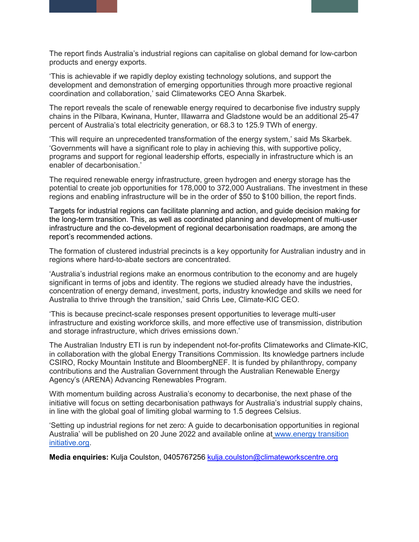The report finds Australia's industrial regions can capitalise on global demand for low-carbon products and energy exports.

'This is achievable if we rapidly deploy existing technology solutions, and support the development and demonstration of emerging opportunities through more proactive regional coordination and collaboration,' said Climateworks CEO Anna Skarbek.

The report reveals the scale of renewable energy required to decarbonise five industry supply chains in the Pilbara, Kwinana, Hunter, Illawarra and Gladstone would be an additional 25-47 percent of Australia's total electricity generation, or 68.3 to 125.9 TWh of energy.

'This will require an unprecedented transformation of the energy system,' said Ms Skarbek. 'Governments will have a significant role to play in achieving this, with supportive policy, programs and support for regional leadership efforts, especially in infrastructure which is an enabler of decarbonisation.'

The required renewable energy infrastructure, green hydrogen and energy storage has the potential to create job opportunities for 178,000 to 372,000 Australians. The investment in these regions and enabling infrastructure will be in the order of \$50 to \$100 billion, the report finds.

Targets for industrial regions can facilitate planning and action, and guide decision making for the long-term transition. This, as well as coordinated planning and development of multi-user infrastructure and the co-development of regional decarbonisation roadmaps, are among the report's recommended actions.

The formation of clustered industrial precincts is a key opportunity for Australian industry and in regions where hard-to-abate sectors are concentrated.

'Australia's industrial regions make an enormous contribution to the economy and are hugely significant in terms of jobs and identity. The regions we studied already have the industries, concentration of energy demand, investment, ports, industry knowledge and skills we need for Australia to thrive through the transition,' said Chris Lee, Climate-KIC CEO.

'This is because precinct-scale responses present opportunities to leverage multi-user infrastructure and existing workforce skills, and more effective use of transmission, distribution and storage infrastructure, which drives emissions down.'

The Australian Industry ETI is run by independent not-for-profits Climateworks and Climate-KIC, in collaboration with the global Energy Transitions Commission. Its knowledge partners include CSIRO, Rocky Mountain Institute and BloombergNEF. It is funded by philanthropy, company contributions and the Australian Government through the Australian Renewable Energy Agency's (ARENA) Advancing Renewables Program.

With momentum building across Australia's economy to decarbonise, the next phase of the initiative will focus on setting decarbonisation pathways for Australia's industrial supply chains, in line with the global goal of limiting global warming to 1.5 degrees Celsius.

'Setting up industrial regions for net zero: A guide to decarbonisation opportunities in regional Australia' will be published on 20 June 2022 and available online at [www.energy transition](http://www.energytransitionsinitiative.org/)  [initiative.org.](http://www.energytransitionsinitiative.org/)

**Media enquiries:** Kulja Coulston, 0405767256 [kulja.coulston@climateworkscentre.org](mailto:kulja.coulston@climateworkscentre.org)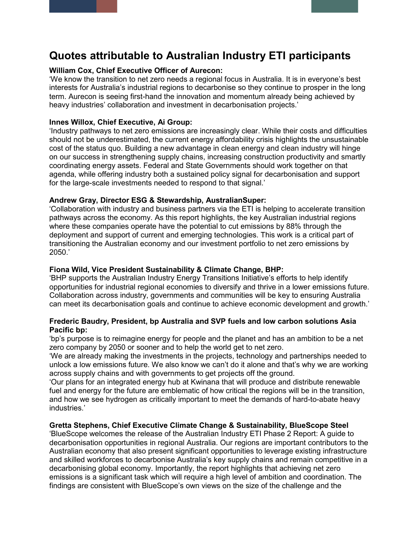# **Quotes attributable to Australian Industry ETI participants**

#### **William Cox, Chief Executive Officer of Aurecon:**

'We know the transition to net zero needs a regional focus in Australia. It is in everyone's best interests for Australia's industrial regions to decarbonise so they continue to prosper in the long term. Aurecon is seeing first-hand the innovation and momentum already being achieved by heavy industries' collaboration and investment in decarbonisation projects.'

### **Innes Willox, Chief Executive, Ai Group:**

'Industry pathways to net zero emissions are increasingly clear. While their costs and difficulties should not be underestimated, the current energy affordability crisis highlights the unsustainable cost of the status quo. Building a new advantage in clean energy and clean industry will hinge on our success in strengthening supply chains, increasing construction productivity and smartly coordinating energy assets. Federal and State Governments should work together on that agenda, while offering industry both a sustained policy signal for decarbonisation and support for the large-scale investments needed to respond to that signal.'

# **Andrew Gray, Director ESG & Stewardship, AustralianSuper:**

'Collaboration with industry and business partners via the ETI is helping to accelerate transition pathways across the economy. As this report highlights, the key Australian industrial regions where these companies operate have the potential to cut emissions by 88% through the deployment and support of current and emerging technologies. This work is a critical part of transitioning the Australian economy and our investment portfolio to net zero emissions by 2050.'

#### **Fiona Wild, Vice President Sustainability & Climate Change, BHP:**

'BHP supports the Australian Industry Energy Transitions Initiative's efforts to help identify opportunities for industrial regional economies to diversify and thrive in a lower emissions future. Collaboration across industry, governments and communities will be key to ensuring Australia can meet its decarbonisation goals and continue to achieve economic development and growth.'

#### **Frederic Baudry, President, bp Australia and SVP fuels and low carbon solutions Asia Pacific bp:**

'bp's purpose is to reimagine energy for people and the planet and has an ambition to be a net zero company by 2050 or sooner and to help the world get to net zero.

'We are already making the investments in the projects, technology and partnerships needed to unlock a low emissions future. We also know we can't do it alone and that's why we are working across supply chains and with governments to get projects off the ground.

'Our plans for an integrated energy hub at Kwinana that will produce and distribute renewable fuel and energy for the future are emblematic of how critical the regions will be in the transition, and how we see hydrogen as critically important to meet the demands of hard-to-abate heavy industries.'

# **Gretta Stephens, Chief Executive Climate Change & Sustainability, BlueScope Steel**

'BlueScope welcomes the release of the Australian Industry ETI Phase 2 Report: A guide to decarbonisation opportunities in regional Australia. Our regions are important contributors to the Australian economy that also present significant opportunities to leverage existing infrastructure and skilled workforces to decarbonise Australia's key supply chains and remain competitive in a decarbonising global economy. Importantly, the report highlights that achieving net zero emissions is a significant task which will require a high level of ambition and coordination. The findings are consistent with BlueScope's own views on the size of the challenge and the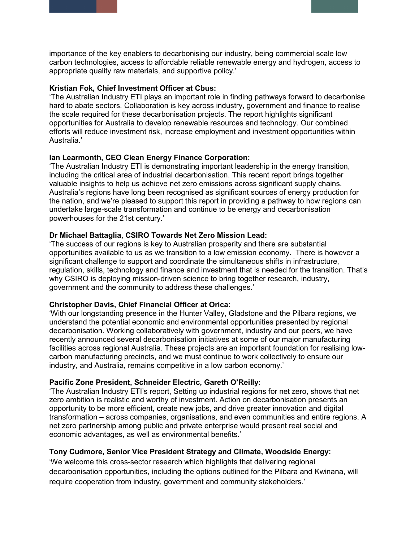importance of the key enablers to decarbonising our industry, being commercial scale low carbon technologies, access to affordable reliable renewable energy and hydrogen, access to appropriate quality raw materials, and supportive policy.'

#### **Kristian Fok, Chief Investment Officer at Cbus:**

'The Australian Industry ETI plays an important role in finding pathways forward to decarbonise hard to abate sectors. Collaboration is key across industry, government and finance to realise the scale required for these decarbonisation projects. The report highlights significant opportunities for Australia to develop renewable resources and technology. Our combined efforts will reduce investment risk, increase employment and investment opportunities within Australia.'

# **Ian Learmonth, CEO Clean Energy Finance Corporation:**

'The Australian Industry ETI is demonstrating important leadership in the energy transition, including the critical area of industrial decarbonisation. This recent report brings together valuable insights to help us achieve net zero emissions across significant supply chains. Australia's regions have long been recognised as significant sources of energy production for the nation, and we're pleased to support this report in providing a pathway to how regions can undertake large-scale transformation and continue to be energy and decarbonisation powerhouses for the 21st century.'

# **Dr Michael Battaglia, CSIRO Towards Net Zero Mission Lead:**

'The success of our regions is key to Australian prosperity and there are substantial opportunities available to us as we transition to a low emission economy. There is however a significant challenge to support and coordinate the simultaneous shifts in infrastructure, regulation, skills, technology and finance and investment that is needed for the transition. That's why CSIRO is deploying mission-driven science to bring together research, industry, government and the community to address these challenges.'

# **Christopher Davis, Chief Financial Officer at Orica:**

'With our longstanding presence in the Hunter Valley, Gladstone and the Pilbara regions, we understand the potential economic and environmental opportunities presented by regional decarbonisation. Working collaboratively with government, industry and our peers, we have recently announced several decarbonisation initiatives at some of our major manufacturing facilities across regional Australia. These projects are an important foundation for realising lowcarbon manufacturing precincts, and we must continue to work collectively to ensure our industry, and Australia, remains competitive in a low carbon economy.'

# **Pacific Zone President, Schneider Electric, Gareth O'Reilly:**

'The Australian Industry ETI's report, Setting up industrial regions for net zero, shows that net zero ambition is realistic and worthy of investment. Action on decarbonisation presents an opportunity to be more efficient, create new jobs, and drive greater innovation and digital transformation – across companies, organisations, and even communities and entire regions. A net zero partnership among public and private enterprise would present real social and economic advantages, as well as environmental benefits.'

# **Tony Cudmore, Senior Vice President Strategy and Climate, Woodside Energy:**

'We welcome this cross-sector research which highlights that delivering regional decarbonisation opportunities, including the options outlined for the Pilbara and Kwinana, will require cooperation from industry, government and community stakeholders.'